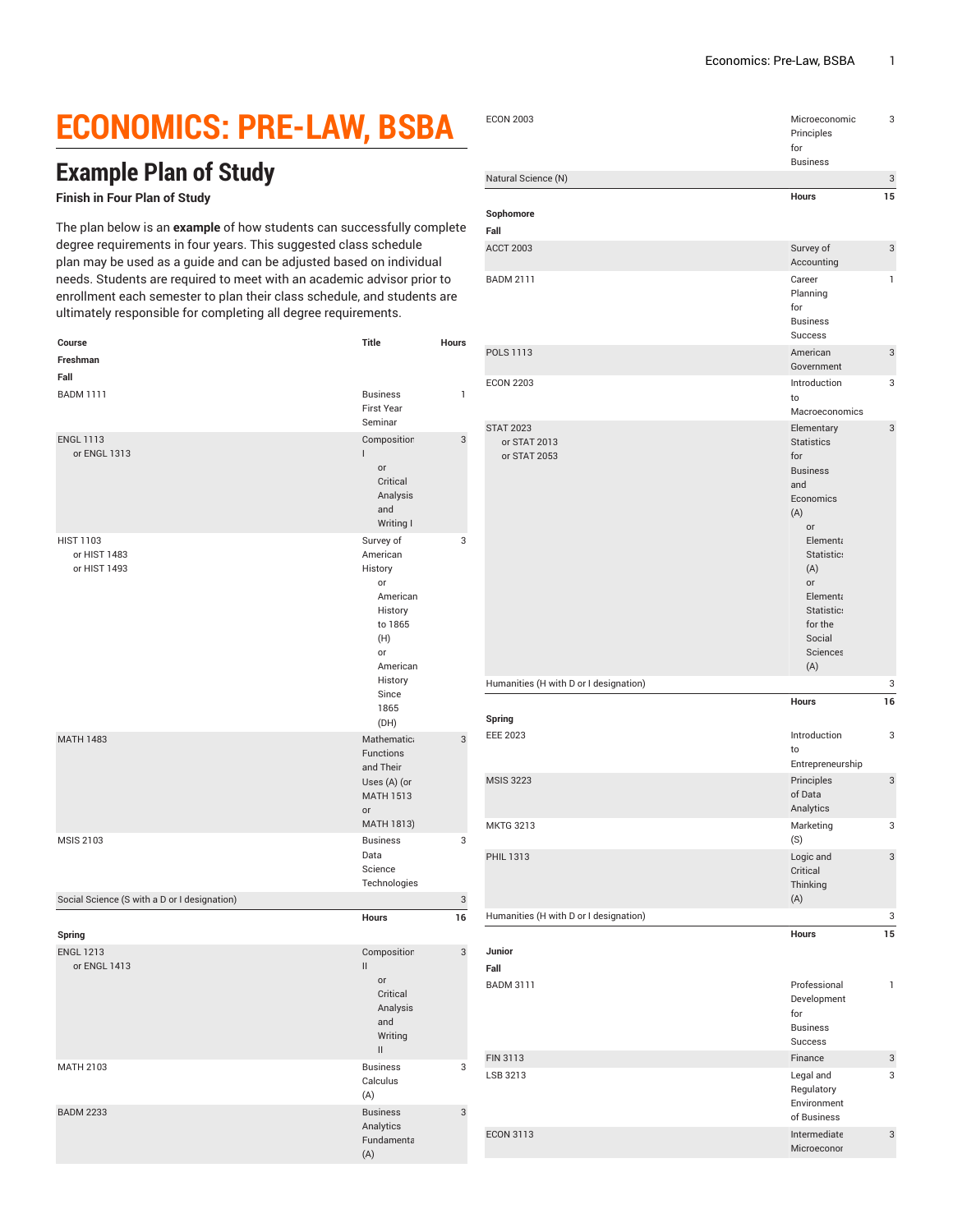## **ECONOMICS: PRE-LAW, BSBA**

## **Example Plan of Study**

## **Finish in Four Plan of Study**

The plan below is an **example** of how students can successfully complete degree requirements in four years. This suggested class schedule plan may be used as a guide and can be adjusted based on individual needs. Students are required to meet with an academic advisor prior to enrollment each semester to plan their class schedule, and students are ultimately responsible for completing all degree requirements.

| Course<br>Freshman                               | Title                                                                                                                                 | <b>Hours</b> |
|--------------------------------------------------|---------------------------------------------------------------------------------------------------------------------------------------|--------------|
| Fall                                             |                                                                                                                                       |              |
| <b>BADM 1111</b>                                 | <b>Business</b><br>First Year<br>Seminar                                                                                              | $\mathbf{1}$ |
| <b>ENGL 1113</b><br>or ENGL 1313                 | Composition<br>L<br>or<br>Critical<br>Analysis<br>and<br>Writing I                                                                    | 3            |
| <b>HIST 1103</b><br>or HIST 1483<br>or HIST 1493 | Survey of<br>American<br>History<br>or<br>American<br>History<br>to 1865<br>(H)<br>or<br>American<br>History<br>Since<br>1865<br>(DH) | 3            |
| <b>MATH 1483</b>                                 | Mathematica<br><b>Functions</b><br>and Their<br>Uses (A) (or<br><b>MATH 1513</b><br>or<br>MATH 1813)                                  | 3            |
| <b>MSIS 2103</b>                                 | <b>Business</b><br>Data<br>Science<br>Technologies                                                                                    | 3            |
| Social Science (S with a D or I designation)     |                                                                                                                                       | 3            |
| Spring                                           | Hours                                                                                                                                 | 16           |
| <b>ENGL 1213</b><br>or ENGL 1413                 | Composition<br>II<br>or<br>Critical<br>Analysis<br>and<br>Writing<br>Ш                                                                | 3            |
| <b>MATH 2103</b>                                 | <b>Business</b><br>Calculus<br>(A)                                                                                                    | 3            |
| <b>BADM 2233</b>                                 | <b>Business</b><br>Analytics<br>Fundamenta<br>(A)                                                                                     | 3            |

| <b>ECON 2003</b>                                 | Microeconomic<br>Principles<br>for<br><b>Business</b>                                                                                                                                                      | 3            |
|--------------------------------------------------|------------------------------------------------------------------------------------------------------------------------------------------------------------------------------------------------------------|--------------|
| Natural Science (N)                              |                                                                                                                                                                                                            | 3            |
| Sophomore<br>Fall                                | <b>Hours</b>                                                                                                                                                                                               | 15           |
| <b>ACCT 2003</b>                                 | Survey of<br>Accounting                                                                                                                                                                                    | 3            |
| <b>BADM 2111</b>                                 | Career<br>Planning<br>for<br><b>Business</b><br>Success                                                                                                                                                    | 1            |
| <b>POLS 1113</b>                                 | American<br>Government                                                                                                                                                                                     | 3            |
| <b>ECON 2203</b>                                 | Introduction<br>to<br>Macroeconomics                                                                                                                                                                       | 3            |
| <b>STAT 2023</b><br>or STAT 2013<br>or STAT 2053 | Elementary<br><b>Statistics</b><br>for<br><b>Business</b><br>and<br>Economics<br>(A)<br>or<br>Elementa<br>Statistic:<br>(A)<br>or<br>Elementa<br>Statistic:<br>for the<br>Social<br><b>Sciences</b><br>(A) | 3            |
| Humanities (H with D or I designation)           |                                                                                                                                                                                                            | 3            |
| Spring<br><b>EEE 2023</b>                        | <b>Hours</b><br>Introduction                                                                                                                                                                               | 16<br>3      |
|                                                  | to<br>Entrepreneurship                                                                                                                                                                                     |              |
| <b>MSIS 3223</b>                                 | Principles<br>of Data<br>Analytics                                                                                                                                                                         | 3            |
| MKTG 3213                                        | Marketing<br>(S)                                                                                                                                                                                           | 3            |
| PHIL 1313                                        | Logic and<br>Critical<br>Thinking<br>(A)                                                                                                                                                                   | 3            |
| Humanities (H with D or I designation)           |                                                                                                                                                                                                            | 3            |
| Junior<br>Fall                                   | Hours                                                                                                                                                                                                      | 15           |
| <b>BADM 3111</b>                                 | Professional<br>Development<br>for<br><b>Business</b><br>Success                                                                                                                                           | $\mathbf{1}$ |
| FIN 3113                                         | Finance                                                                                                                                                                                                    | 3            |
| LSB 3213                                         | Legal and<br>Regulatory<br>Environment<br>of Business                                                                                                                                                      | 3            |
| <b>ECON 3113</b>                                 | Intermediate<br>Microeconor                                                                                                                                                                                | 3            |
|                                                  |                                                                                                                                                                                                            |              |